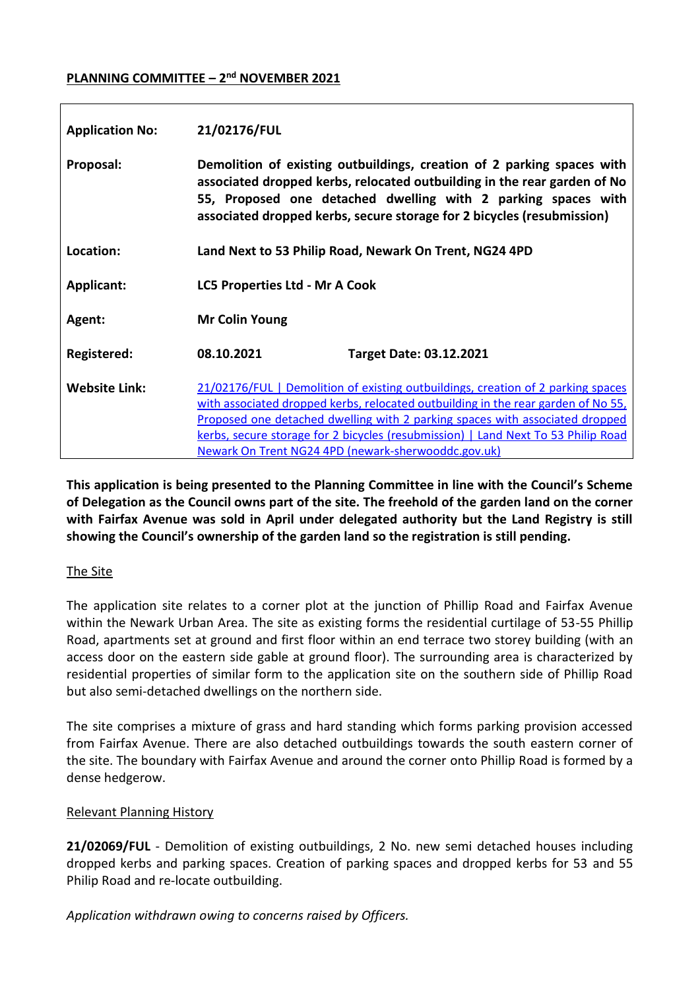## **PLANNING COMMITTEE – 2 nd NOVEMBER 2021**

| <b>Application No:</b> | 21/02176/FUL                                                                                                                                                                                                                                                                                                                                                                                      |
|------------------------|---------------------------------------------------------------------------------------------------------------------------------------------------------------------------------------------------------------------------------------------------------------------------------------------------------------------------------------------------------------------------------------------------|
| Proposal:              | Demolition of existing outbuildings, creation of 2 parking spaces with<br>associated dropped kerbs, relocated outbuilding in the rear garden of No<br>55, Proposed one detached dwelling with 2 parking spaces with<br>associated dropped kerbs, secure storage for 2 bicycles (resubmission)                                                                                                     |
| Location:              | Land Next to 53 Philip Road, Newark On Trent, NG24 4PD                                                                                                                                                                                                                                                                                                                                            |
| <b>Applicant:</b>      | <b>LC5 Properties Ltd - Mr A Cook</b>                                                                                                                                                                                                                                                                                                                                                             |
| Agent:                 | <b>Mr Colin Young</b>                                                                                                                                                                                                                                                                                                                                                                             |
| Registered:            | 08.10.2021<br><b>Target Date: 03.12.2021</b>                                                                                                                                                                                                                                                                                                                                                      |
| <b>Website Link:</b>   | 21/02176/FUL   Demolition of existing outbuildings, creation of 2 parking spaces<br>with associated dropped kerbs, relocated outbuilding in the rear garden of No 55,<br>Proposed one detached dwelling with 2 parking spaces with associated dropped<br>kerbs, secure storage for 2 bicycles (resubmission)   Land Next To 53 Philip Road<br>Newark On Trent NG24 4PD (newark-sherwooddc.gov.uk) |

**This application is being presented to the Planning Committee in line with the Council's Scheme of Delegation as the Council owns part of the site. The freehold of the garden land on the corner with Fairfax Avenue was sold in April under delegated authority but the Land Registry is still showing the Council's ownership of the garden land so the registration is still pending.**

## The Site

The application site relates to a corner plot at the junction of Phillip Road and Fairfax Avenue within the Newark Urban Area. The site as existing forms the residential curtilage of 53-55 Phillip Road, apartments set at ground and first floor within an end terrace two storey building (with an access door on the eastern side gable at ground floor). The surrounding area is characterized by residential properties of similar form to the application site on the southern side of Phillip Road but also semi-detached dwellings on the northern side.

The site comprises a mixture of grass and hard standing which forms parking provision accessed from Fairfax Avenue. There are also detached outbuildings towards the south eastern corner of the site. The boundary with Fairfax Avenue and around the corner onto Phillip Road is formed by a dense hedgerow.

## Relevant Planning History

**21/02069/FUL** - Demolition of existing outbuildings, 2 No. new semi detached houses including dropped kerbs and parking spaces. Creation of parking spaces and dropped kerbs for 53 and 55 Philip Road and re-locate outbuilding.

*Application withdrawn owing to concerns raised by Officers.*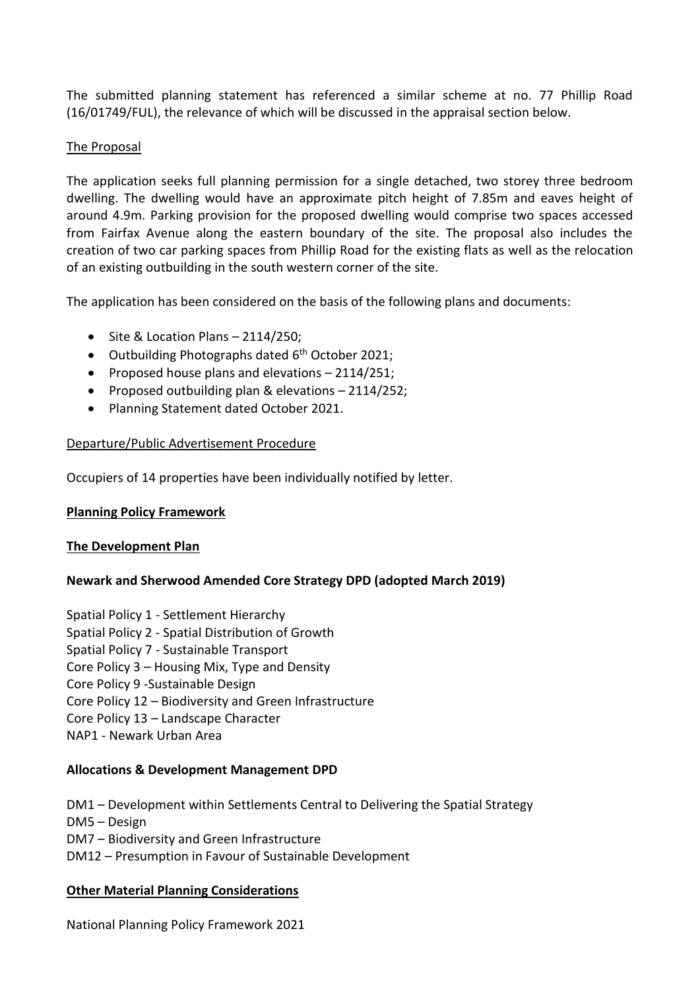The submitted planning statement has referenced a similar scheme at no. 77 Phillip Road (16/01749/FUL), the relevance of which will be discussed in the appraisal section below.

## The Proposal

The application seeks full planning permission for a single detached, two storey three bedroom dwelling. The dwelling would have an approximate pitch height of 7.85m and eaves height of around 4.9m. Parking provision for the proposed dwelling would comprise two spaces accessed from Fairfax Avenue along the eastern boundary of the site. The proposal also includes the creation of two car parking spaces from Phillip Road for the existing flats as well as the relocation of an existing outbuilding in the south western corner of the site.

The application has been considered on the basis of the following plans and documents:

- $\bullet$  Site & Location Plans 2114/250;
- Outbuilding Photographs dated 6<sup>th</sup> October 2021;
- Proposed house plans and elevations  $-2114/251$ ;
- Proposed outbuilding plan & elevations 2114/252;
- Planning Statement dated October 2021.

## Departure/Public Advertisement Procedure

Occupiers of 14 properties have been individually notified by letter.

## **Planning Policy Framework**

## **The Development Plan**

# **Newark and Sherwood Amended Core Strategy DPD (adopted March 2019)**

Spatial Policy 1 - Settlement Hierarchy

- Spatial Policy 2 Spatial Distribution of Growth
- Spatial Policy 7 Sustainable Transport
- Core Policy 3 Housing Mix, Type and Density
- Core Policy 9 -Sustainable Design
- Core Policy 12 Biodiversity and Green Infrastructure
- Core Policy 13 Landscape Character
- NAP1 Newark Urban Area

## **Allocations & Development Management DPD**

DM1 – Development within Settlements Central to Delivering the Spatial Strategy DM5 – Design DM7 – Biodiversity and Green Infrastructure DM12 – Presumption in Favour of Sustainable Development

## **Other Material Planning Considerations**

National Planning Policy Framework 2021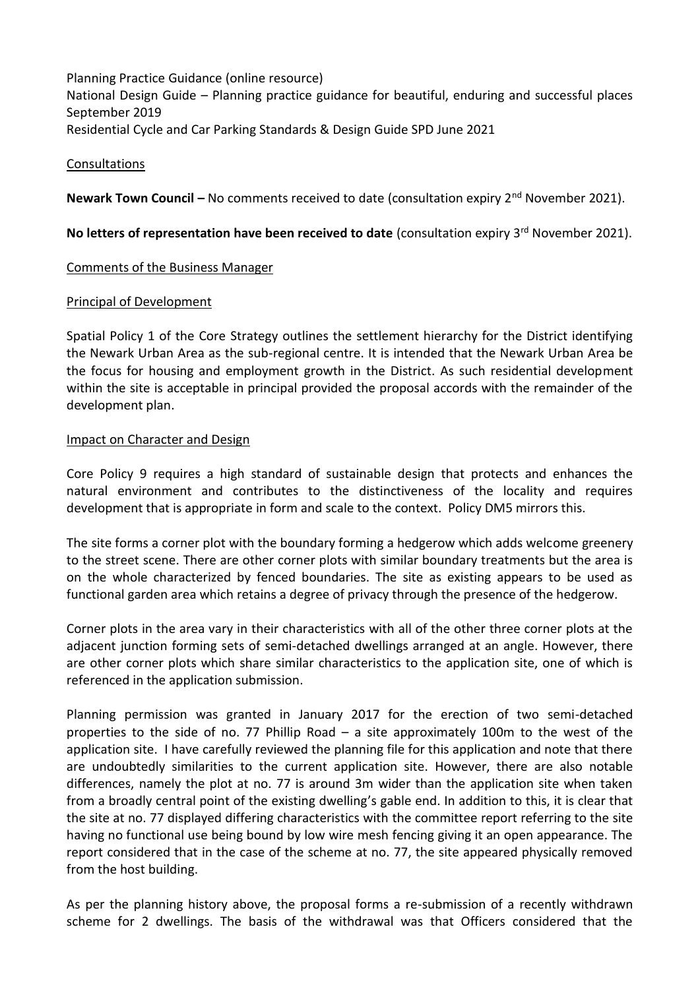Planning Practice Guidance (online resource) National Design Guide – Planning practice guidance for beautiful, enduring and successful places September 2019 Residential Cycle and Car Parking Standards & Design Guide SPD June 2021

## Consultations

**Newark Town Council –** No comments received to date (consultation expiry 2<sup>nd</sup> November 2021).

No letters of representation have been received to date (consultation expiry 3<sup>rd</sup> November 2021).

#### Comments of the Business Manager

#### Principal of Development

Spatial Policy 1 of the Core Strategy outlines the settlement hierarchy for the District identifying the Newark Urban Area as the sub-regional centre. It is intended that the Newark Urban Area be the focus for housing and employment growth in the District. As such residential development within the site is acceptable in principal provided the proposal accords with the remainder of the development plan.

#### Impact on Character and Design

Core Policy 9 requires a high standard of sustainable design that protects and enhances the natural environment and contributes to the distinctiveness of the locality and requires development that is appropriate in form and scale to the context. Policy DM5 mirrors this.

The site forms a corner plot with the boundary forming a hedgerow which adds welcome greenery to the street scene. There are other corner plots with similar boundary treatments but the area is on the whole characterized by fenced boundaries. The site as existing appears to be used as functional garden area which retains a degree of privacy through the presence of the hedgerow.

Corner plots in the area vary in their characteristics with all of the other three corner plots at the adjacent junction forming sets of semi-detached dwellings arranged at an angle. However, there are other corner plots which share similar characteristics to the application site, one of which is referenced in the application submission.

Planning permission was granted in January 2017 for the erection of two semi-detached properties to the side of no. 77 Phillip Road – a site approximately 100m to the west of the application site. I have carefully reviewed the planning file for this application and note that there are undoubtedly similarities to the current application site. However, there are also notable differences, namely the plot at no. 77 is around 3m wider than the application site when taken from a broadly central point of the existing dwelling's gable end. In addition to this, it is clear that the site at no. 77 displayed differing characteristics with the committee report referring to the site having no functional use being bound by low wire mesh fencing giving it an open appearance. The report considered that in the case of the scheme at no. 77, the site appeared physically removed from the host building.

As per the planning history above, the proposal forms a re-submission of a recently withdrawn scheme for 2 dwellings. The basis of the withdrawal was that Officers considered that the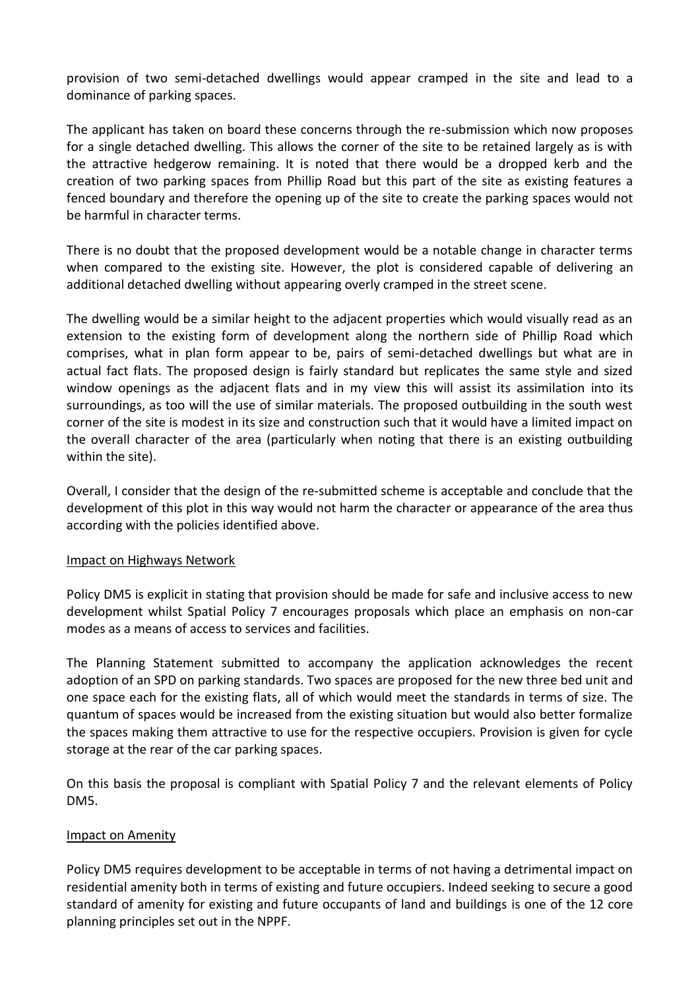provision of two semi-detached dwellings would appear cramped in the site and lead to a dominance of parking spaces.

The applicant has taken on board these concerns through the re-submission which now proposes for a single detached dwelling. This allows the corner of the site to be retained largely as is with the attractive hedgerow remaining. It is noted that there would be a dropped kerb and the creation of two parking spaces from Phillip Road but this part of the site as existing features a fenced boundary and therefore the opening up of the site to create the parking spaces would not be harmful in character terms.

There is no doubt that the proposed development would be a notable change in character terms when compared to the existing site. However, the plot is considered capable of delivering an additional detached dwelling without appearing overly cramped in the street scene.

The dwelling would be a similar height to the adjacent properties which would visually read as an extension to the existing form of development along the northern side of Phillip Road which comprises, what in plan form appear to be, pairs of semi-detached dwellings but what are in actual fact flats. The proposed design is fairly standard but replicates the same style and sized window openings as the adjacent flats and in my view this will assist its assimilation into its surroundings, as too will the use of similar materials. The proposed outbuilding in the south west corner of the site is modest in its size and construction such that it would have a limited impact on the overall character of the area (particularly when noting that there is an existing outbuilding within the site).

Overall, I consider that the design of the re-submitted scheme is acceptable and conclude that the development of this plot in this way would not harm the character or appearance of the area thus according with the policies identified above.

## Impact on Highways Network

Policy DM5 is explicit in stating that provision should be made for safe and inclusive access to new development whilst Spatial Policy 7 encourages proposals which place an emphasis on non-car modes as a means of access to services and facilities.

The Planning Statement submitted to accompany the application acknowledges the recent adoption of an SPD on parking standards. Two spaces are proposed for the new three bed unit and one space each for the existing flats, all of which would meet the standards in terms of size. The quantum of spaces would be increased from the existing situation but would also better formalize the spaces making them attractive to use for the respective occupiers. Provision is given for cycle storage at the rear of the car parking spaces.

On this basis the proposal is compliant with Spatial Policy 7 and the relevant elements of Policy DM5.

## Impact on Amenity

Policy DM5 requires development to be acceptable in terms of not having a detrimental impact on residential amenity both in terms of existing and future occupiers. Indeed seeking to secure a good standard of amenity for existing and future occupants of land and buildings is one of the 12 core planning principles set out in the NPPF.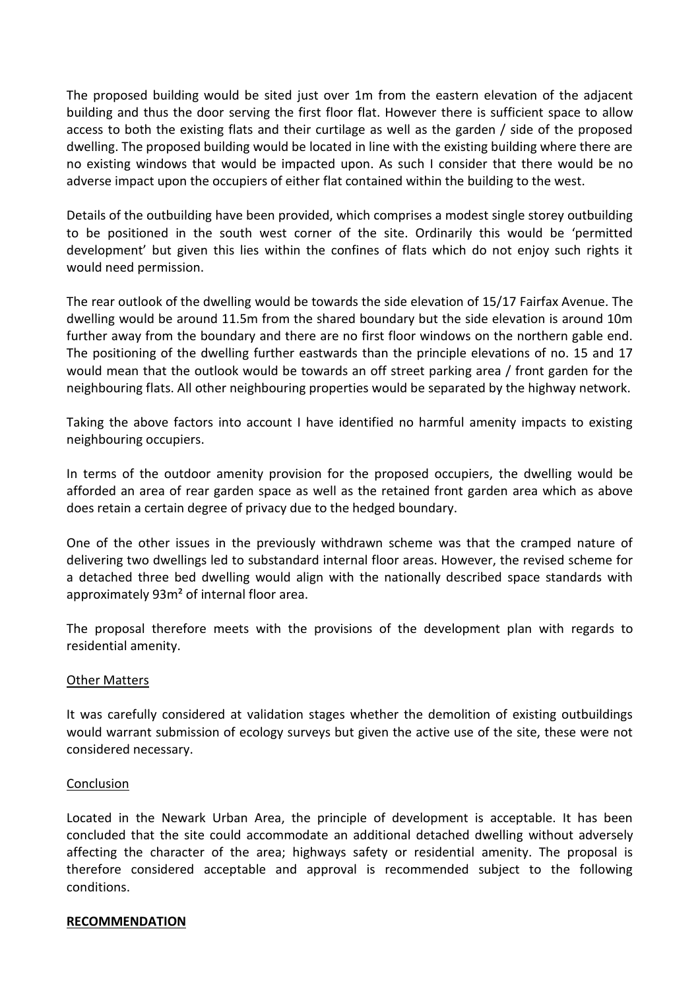The proposed building would be sited just over 1m from the eastern elevation of the adjacent building and thus the door serving the first floor flat. However there is sufficient space to allow access to both the existing flats and their curtilage as well as the garden / side of the proposed dwelling. The proposed building would be located in line with the existing building where there are no existing windows that would be impacted upon. As such I consider that there would be no adverse impact upon the occupiers of either flat contained within the building to the west.

Details of the outbuilding have been provided, which comprises a modest single storey outbuilding to be positioned in the south west corner of the site. Ordinarily this would be 'permitted development' but given this lies within the confines of flats which do not enjoy such rights it would need permission.

The rear outlook of the dwelling would be towards the side elevation of 15/17 Fairfax Avenue. The dwelling would be around 11.5m from the shared boundary but the side elevation is around 10m further away from the boundary and there are no first floor windows on the northern gable end. The positioning of the dwelling further eastwards than the principle elevations of no. 15 and 17 would mean that the outlook would be towards an off street parking area / front garden for the neighbouring flats. All other neighbouring properties would be separated by the highway network.

Taking the above factors into account I have identified no harmful amenity impacts to existing neighbouring occupiers.

In terms of the outdoor amenity provision for the proposed occupiers, the dwelling would be afforded an area of rear garden space as well as the retained front garden area which as above does retain a certain degree of privacy due to the hedged boundary.

One of the other issues in the previously withdrawn scheme was that the cramped nature of delivering two dwellings led to substandard internal floor areas. However, the revised scheme for a detached three bed dwelling would align with the nationally described space standards with approximately 93m² of internal floor area.

The proposal therefore meets with the provisions of the development plan with regards to residential amenity.

## **Other Matters**

It was carefully considered at validation stages whether the demolition of existing outbuildings would warrant submission of ecology surveys but given the active use of the site, these were not considered necessary.

#### Conclusion

Located in the Newark Urban Area, the principle of development is acceptable. It has been concluded that the site could accommodate an additional detached dwelling without adversely affecting the character of the area; highways safety or residential amenity. The proposal is therefore considered acceptable and approval is recommended subject to the following conditions.

#### **RECOMMENDATION**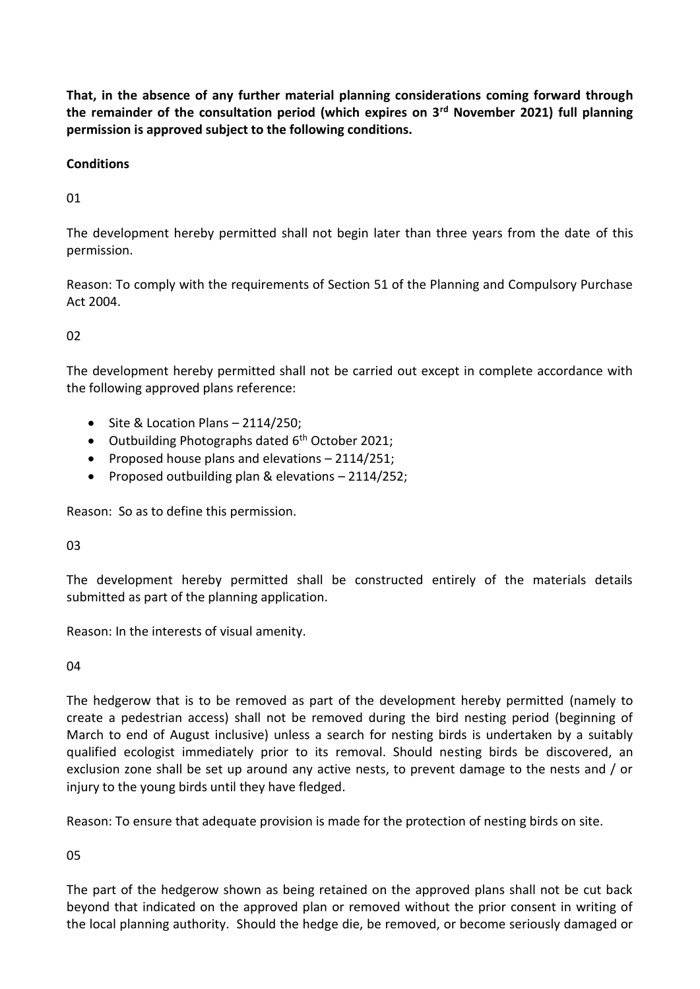**That, in the absence of any further material planning considerations coming forward through the remainder of the consultation period (which expires on 3rd November 2021) full planning permission is approved subject to the following conditions.**

# **Conditions**

01

The development hereby permitted shall not begin later than three years from the date of this permission.

Reason: To comply with the requirements of Section 51 of the Planning and Compulsory Purchase Act 2004.

02

The development hereby permitted shall not be carried out except in complete accordance with the following approved plans reference:

- $\bullet$  Site & Location Plans 2114/250;
- $\bullet$  Outbuilding Photographs dated 6<sup>th</sup> October 2021;
- Proposed house plans and elevations  $-2114/251$ ;
- Proposed outbuilding plan & elevations  $-2114/252$ ;

Reason: So as to define this permission.

03

The development hereby permitted shall be constructed entirely of the materials details submitted as part of the planning application.

Reason: In the interests of visual amenity.

04

The hedgerow that is to be removed as part of the development hereby permitted (namely to create a pedestrian access) shall not be removed during the bird nesting period (beginning of March to end of August inclusive) unless a search for nesting birds is undertaken by a suitably qualified ecologist immediately prior to its removal. Should nesting birds be discovered, an exclusion zone shall be set up around any active nests, to prevent damage to the nests and / or injury to the young birds until they have fledged.

Reason: To ensure that adequate provision is made for the protection of nesting birds on site.

05

The part of the hedgerow shown as being retained on the approved plans shall not be cut back beyond that indicated on the approved plan or removed without the prior consent in writing of the local planning authority. Should the hedge die, be removed, or become seriously damaged or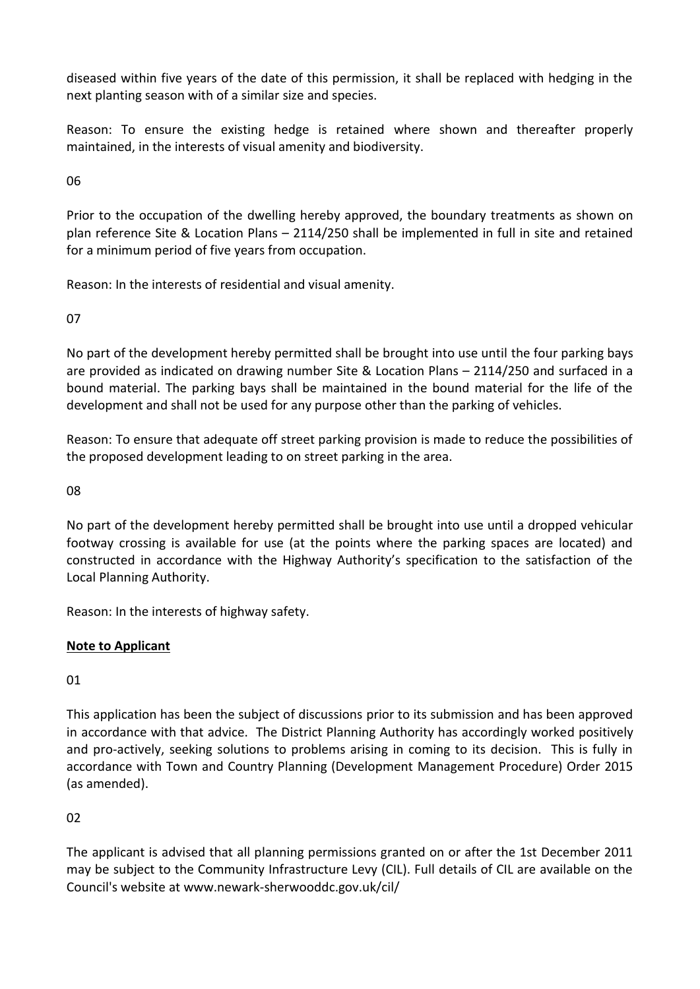diseased within five years of the date of this permission, it shall be replaced with hedging in the next planting season with of a similar size and species.

Reason: To ensure the existing hedge is retained where shown and thereafter properly maintained, in the interests of visual amenity and biodiversity.

06

Prior to the occupation of the dwelling hereby approved, the boundary treatments as shown on plan reference Site & Location Plans – 2114/250 shall be implemented in full in site and retained for a minimum period of five years from occupation.

Reason: In the interests of residential and visual amenity.

07

No part of the development hereby permitted shall be brought into use until the four parking bays are provided as indicated on drawing number Site & Location Plans – 2114/250 and surfaced in a bound material. The parking bays shall be maintained in the bound material for the life of the development and shall not be used for any purpose other than the parking of vehicles.

Reason: To ensure that adequate off street parking provision is made to reduce the possibilities of the proposed development leading to on street parking in the area.

08

No part of the development hereby permitted shall be brought into use until a dropped vehicular footway crossing is available for use (at the points where the parking spaces are located) and constructed in accordance with the Highway Authority's specification to the satisfaction of the Local Planning Authority.

Reason: In the interests of highway safety.

# **Note to Applicant**

01

This application has been the subject of discussions prior to its submission and has been approved in accordance with that advice. The District Planning Authority has accordingly worked positively and pro-actively, seeking solutions to problems arising in coming to its decision. This is fully in accordance with Town and Country Planning (Development Management Procedure) Order 2015 (as amended).

 $02$ 

The applicant is advised that all planning permissions granted on or after the 1st December 2011 may be subject to the Community Infrastructure Levy (CIL). Full details of CIL are available on the Council's website at www.newark-sherwooddc.gov.uk/cil/